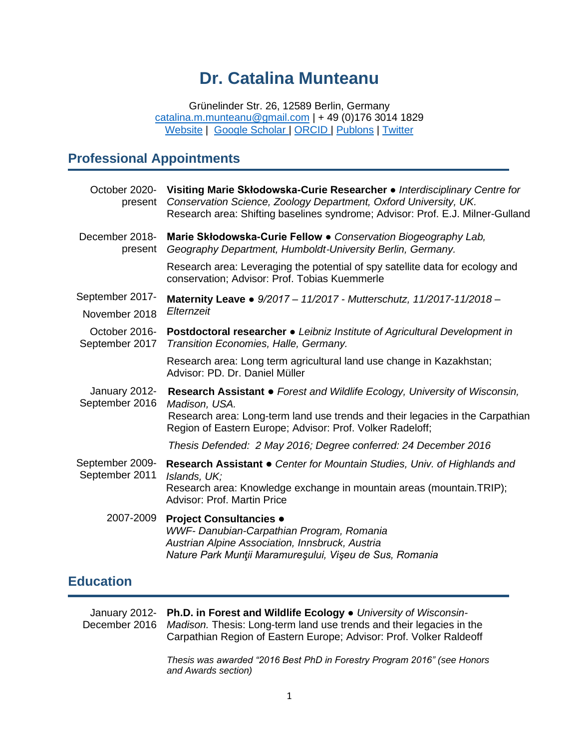# **Dr. Catalina Munteanu**

Grünelinder Str. 26, 12589 Berlin, Germany [catalina.m.munteanu@gmail.com](mailto:catalina.m.munteanu@gmail.com) | + 49 (0)176 3014 1829 [Website](https://sites.google.com/view/catalinamunteanu/research/ecospy?authuser=0) | [Google Scholar](https://scholar.google.de/citations?user=T6RZmAIAAAAJ&hl=en) | [ORCID](https://orcid.org/0000-0003-1616-9639) | [Publons](https://publons.com/researcher/1276493/catalina-munteanu/) | [Twitter](https://twitter.com/catalinamunte?lang=en)

# **Professional Appointments**

| present                           | October 2020- Visiting Marie Skłodowska-Curie Researcher • Interdisciplinary Centre for<br>Conservation Science, Zoology Department, Oxford University, UK.<br>Research area: Shifting baselines syndrome; Advisor: Prof. E.J. Milner-Gulland |
|-----------------------------------|-----------------------------------------------------------------------------------------------------------------------------------------------------------------------------------------------------------------------------------------------|
| December 2018-<br>present         | Marie Skłodowska-Curie Fellow • Conservation Biogeography Lab,<br>Geography Department, Humboldt-University Berlin, Germany.                                                                                                                  |
|                                   | Research area: Leveraging the potential of spy satellite data for ecology and<br>conservation; Advisor: Prof. Tobias Kuemmerle                                                                                                                |
| September 2017-                   | Maternity Leave • 9/2017 - 11/2017 - Mutterschutz, 11/2017-11/2018 -                                                                                                                                                                          |
| November 2018                     | Elternzeit                                                                                                                                                                                                                                    |
| October 2016-<br>September 2017   | <b>Postdoctoral researcher •</b> Leibniz Institute of Agricultural Development in<br>Transition Economies, Halle, Germany.                                                                                                                    |
|                                   | Research area: Long term agricultural land use change in Kazakhstan;<br>Advisor: PD. Dr. Daniel Müller                                                                                                                                        |
| January 2012-<br>September 2016   | Research Assistant • Forest and Wildlife Ecology, University of Wisconsin,<br>Madison, USA.                                                                                                                                                   |
|                                   | Research area: Long-term land use trends and their legacies in the Carpathian<br>Region of Eastern Europe; Advisor: Prof. Volker Radeloff;                                                                                                    |
|                                   | Thesis Defended: 2 May 2016; Degree conferred: 24 December 2016                                                                                                                                                                               |
| September 2009-<br>September 2011 | Research Assistant • Center for Mountain Studies, Univ. of Highlands and<br>Islands, UK;<br>Research area: Knowledge exchange in mountain areas (mountain.TRIP);                                                                              |
|                                   | <b>Advisor: Prof. Martin Price</b>                                                                                                                                                                                                            |
| 2007-2009                         | <b>Project Consultancies •</b><br>WWF- Danubian-Carpathian Program, Romania<br>Austrian Alpine Association, Innsbruck, Austria<br>Nature Park Munții Maramureșului, Vișeu de Sus, Romania                                                     |

# **Education**

January 2012- **Ph.D. in Forest and Wildlife Ecology ●** *University of Wisconsin-*December 2016 *Madison.* Thesis: Long-term land use trends and their legacies in the Carpathian Region of Eastern Europe; Advisor: Prof. Volker Raldeoff

> *Thesis was awarded "2016 Best PhD in Forestry Program 2016" (see Honors and Awards section)*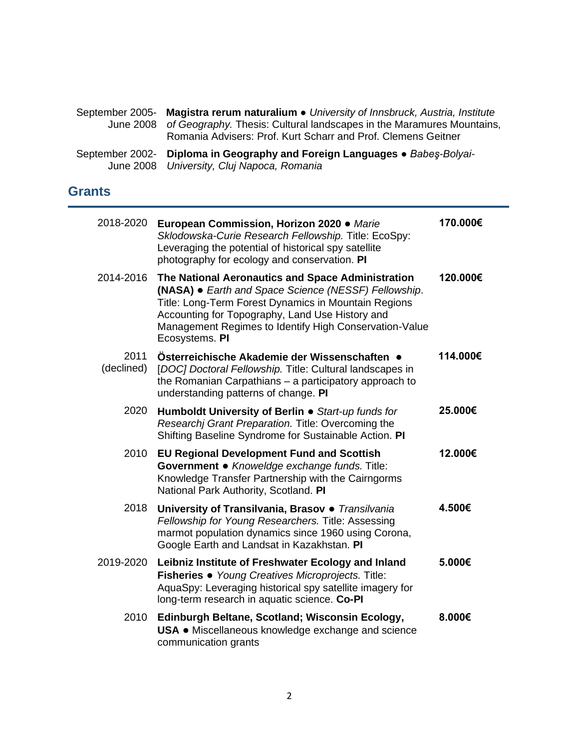| September 2005- Magistra rerum naturalium • University of Innsbruck, Austria, Institute<br>June 2008 of Geography. Thesis: Cultural landscapes in the Maramures Mountains,<br>Romania Advisers: Prof. Kurt Scharr and Prof. Clemens Geitner |
|---------------------------------------------------------------------------------------------------------------------------------------------------------------------------------------------------------------------------------------------|
| September 2002- Diploma in Geography and Foreign Languages • Babes-Bolyai-<br>June 2008 University, Cluj Napoca, Romania                                                                                                                    |

# **Grants**

| 2018-2020          | European Commission, Horizon 2020 . Marie<br>Sklodowska-Curie Research Fellowship. Title: EcoSpy:<br>Leveraging the potential of historical spy satellite<br>photography for ecology and conservation. PI                                                                                        | 170.000€ |
|--------------------|--------------------------------------------------------------------------------------------------------------------------------------------------------------------------------------------------------------------------------------------------------------------------------------------------|----------|
| 2014-2016          | The National Aeronautics and Space Administration<br>(NASA) • Earth and Space Science (NESSF) Fellowship.<br>Title: Long-Term Forest Dynamics in Mountain Regions<br>Accounting for Topography, Land Use History and<br>Management Regimes to Identify High Conservation-Value<br>Ecosystems. PI | 120.000€ |
| 2011<br>(declined) | Österreichische Akademie der Wissenschaften<br>[DOC] Doctoral Fellowship. Title: Cultural landscapes in<br>the Romanian Carpathians – a participatory approach to<br>understanding patterns of change. PI                                                                                        | 114.000€ |
| 2020               | Humboldt University of Berlin • Start-up funds for<br>Researchi Grant Preparation. Title: Overcoming the<br>Shifting Baseline Syndrome for Sustainable Action. PI                                                                                                                                | 25.000€  |
| 2010               | <b>EU Regional Development Fund and Scottish</b><br>Government · Knoweldge exchange funds. Title:<br>Knowledge Transfer Partnership with the Cairngorms<br>National Park Authority, Scotland. PI                                                                                                 | 12.000€  |
| 2018               | University of Transilvania, Brasov · Transilvania<br>Fellowship for Young Researchers. Title: Assessing<br>marmot population dynamics since 1960 using Corona,<br>Google Earth and Landsat in Kazakhstan. PI                                                                                     | 4.500€   |
| 2019-2020          | Leibniz Institute of Freshwater Ecology and Inland<br>Fisheries · Young Creatives Microprojects. Title:<br>AquaSpy: Leveraging historical spy satellite imagery for<br>long-term research in aquatic science. Co-PI                                                                              | 5.000€   |
| 2010               | Edinburgh Beltane, Scotland; Wisconsin Ecology,<br>USA • Miscellaneous knowledge exchange and science<br>communication grants                                                                                                                                                                    | 8.000€   |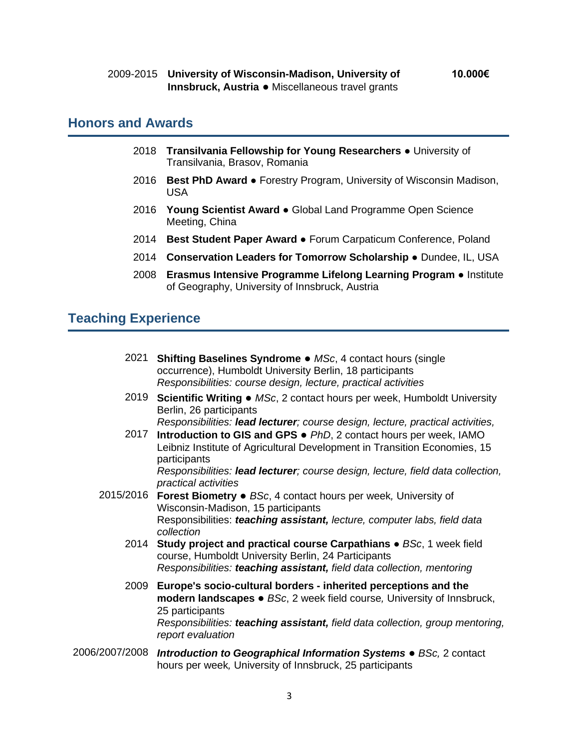#### **Honors and Awards**

- 2018 **Transilvania Fellowship for Young Researchers** University of Transilvania, Brasov, Romania
- 2016 **Best PhD Award** Forestry Program, University of Wisconsin Madison, USA
- 2016 **Young Scientist Award** Global Land Programme Open Science Meeting, China
- 2014 **Best Student Paper Award** Forum Carpaticum Conference, Poland
- 2014 **Conservation Leaders for Tomorrow Scholarship** Dundee, IL, USA
- 2008 **Erasmus Intensive Programme Lifelong Learning Program** Institute of Geography, University of Innsbruck, Austria

## **Teaching Experience**

| 2021           | <b>Shifting Baselines Syndrome • MSc, 4 contact hours (single</b><br>occurrence), Humboldt University Berlin, 18 participants<br>Responsibilities: course design, lecture, practical activities                                                                                                                                                             |
|----------------|-------------------------------------------------------------------------------------------------------------------------------------------------------------------------------------------------------------------------------------------------------------------------------------------------------------------------------------------------------------|
| 2019           | Scientific Writing • MSc, 2 contact hours per week, Humboldt University<br>Berlin, 26 participants                                                                                                                                                                                                                                                          |
| 2017           | Responsibilities: lead lecturer; course design, lecture, practical activities,<br>Introduction to GIS and GPS • PhD, 2 contact hours per week, IAMO<br>Leibniz Institute of Agricultural Development in Transition Economies, 15<br>participants<br>Responsibilities: lead lecturer; course design, lecture, field data collection,<br>practical activities |
| 2015/2016      | <b>Forest Biometry • BSc, 4 contact hours per week, University of</b><br>Wisconsin-Madison, 15 participants<br>Responsibilities: teaching assistant, lecture, computer labs, field data<br>collection                                                                                                                                                       |
| 2014           | <b>Study project and practical course Carpathians • BSc, 1 week field</b><br>course, Humboldt University Berlin, 24 Participants<br>Responsibilities: teaching assistant, field data collection, mentoring                                                                                                                                                  |
|                | 2009 Europe's socio-cultural borders - inherited perceptions and the<br>modern landscapes • BSc, 2 week field course, University of Innsbruck,<br>25 participants<br>Responsibilities: teaching assistant, field data collection, group mentoring,<br>report evaluation                                                                                     |
| 2006/2007/2008 | Introduction to Geographical Information Systems . BSc, 2 contact<br>hours per week, University of Innsbruck, 25 participants                                                                                                                                                                                                                               |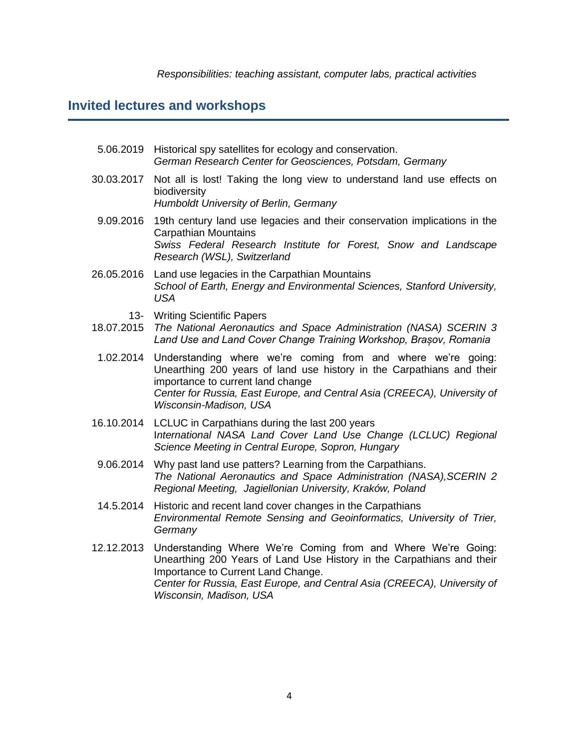#### **Invited lectures and workshops**

- 5.06.2019 Historical spy satellites for ecology and conservation. *German Research Center for Geosciences, Potsdam, Germany*
- 30.03.2017 Not all is lost! Taking the long view to understand land use effects on biodiversity *Humboldt University of Berlin, Germany*
	- 9.09.2016 19th century land use legacies and their conservation implications in the Carpathian Mountains *Swiss Federal Research Institute for Forest, Snow and Landscape Research (WSL), Switzerland*
- 26.05.2016 Land use legacies in the Carpathian Mountains *School of Earth, Energy and Environmental Sciences, Stanford University, USA*
	- 13- Writing Scientific Papers
- 18.07.2015 *The National Aeronautics and Space Administration (NASA) SCERIN 3 Land Use and Land Cover Change Training Workshop, Brașov, Romania*
- 1.02.2014 Understanding where we're coming from and where we're going: Unearthing 200 years of land use history in the Carpathians and their importance to current land change *Center for Russia, East Europe, and Central Asia (CREECA), University of Wisconsin-Madison, USA*
- 16.10.2014 LCLUC in Carpathians during the last 200 years I*nternational NASA Land Cover Land Use Change (LCLUC) Regional Science Meeting in Central Europe, Sopron, Hungary*
- 9.06.2014 Why past land use patters? Learning from the Carpathians. *The National Aeronautics and Space Administration (NASA),SCERIN 2 Regional Meeting, Jagiellonian University, Kraków, Poland*
- 14.5.2014 Historic and recent land cover changes in the Carpathians *Environmental Remote Sensing and Geoinformatics, University of Trier, Germany*
- 12.12.2013 Understanding Where We're Coming from and Where We're Going: Unearthing 200 Years of Land Use History in the Carpathians and their Importance to Current Land Change. *Center for Russia, East Europe, and Central Asia (CREECA), University of Wisconsin, Madison, USA*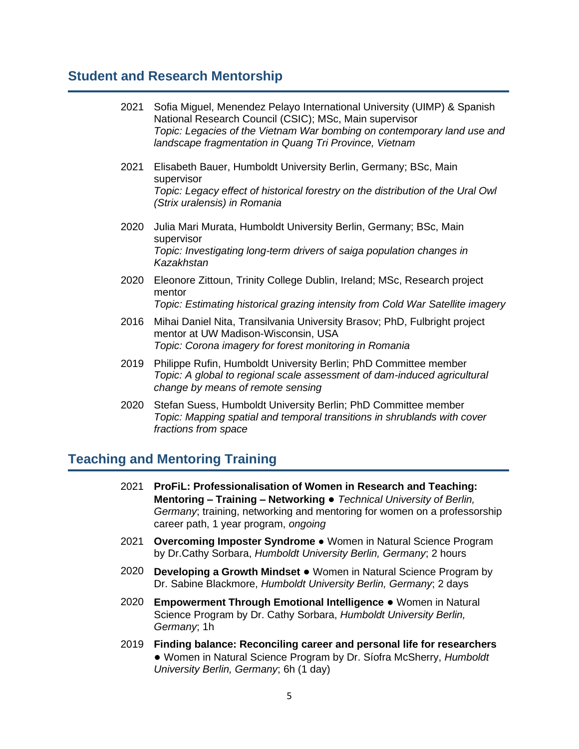#### **Student and Research Mentorship**

| 2021 | Sofia Miguel, Menendez Pelayo International University (UIMP) & Spanish<br>National Research Council (CSIC); MSc, Main supervisor<br>Topic: Legacies of the Vietnam War bombing on contemporary land use and<br>landscape fragmentation in Quang Tri Province, Vietnam |
|------|------------------------------------------------------------------------------------------------------------------------------------------------------------------------------------------------------------------------------------------------------------------------|
| 2021 | Elisabeth Bauer, Humboldt University Berlin, Germany; BSc, Main<br>supervisor<br>Topic: Legacy effect of historical forestry on the distribution of the Ural Owl<br>(Strix uralensis) in Romania                                                                       |
| 2020 | Julia Mari Murata, Humboldt University Berlin, Germany; BSc, Main<br>supervisor<br>Topic: Investigating long-term drivers of saiga population changes in<br>Kazakhstan                                                                                                 |
|      | 2020 Eleonore Zittoun, Trinity College Dublin, Ireland; MSc, Research project<br>mentor<br>Topic: Estimating historical grazing intensity from Cold War Satellite imagery                                                                                              |
| 2016 | Mihai Daniel Nita, Transilvania University Brasov; PhD, Fulbright project<br>mentor at UW Madison-Wisconsin, USA<br>Topic: Corona imagery for forest monitoring in Romania                                                                                             |
| 2019 | Philippe Rufin, Humboldt University Berlin; PhD Committee member<br>Topic: A global to regional scale assessment of dam-induced agricultural<br>change by means of remote sensing                                                                                      |

2020 Stefan Suess, Humboldt University Berlin; PhD Committee member *Topic: Mapping spatial and temporal transitions in shrublands with cover fractions from space*

## **Teaching and Mentoring Training**

- 2021 **ProFiL: Professionalisation of Women in Research and Teaching: Mentoring – Training – Networking ●** *Technical University of Berlin, Germany*; training, networking and mentoring for women on a professorship career path, 1 year program, *ongoing*
- 2021 **Overcoming Imposter Syndrome** *●* Women in Natural Science Program by Dr.Cathy Sorbara, *Humboldt University Berlin, Germany*; 2 hours
- 2020 **Developing a Growth Mindset ●** Women in Natural Science Program by Dr. Sabine Blackmore, *Humboldt University Berlin, Germany*; 2 days
- 2020 **Empowerment Through Emotional Intelligence ●** Women in Natural Science Program by Dr. Cathy Sorbara, *Humboldt University Berlin, Germany*; 1h
- 2019 **Finding balance: Reconciling career and personal life for researchers ●** Women in Natural Science Program by Dr. Síofra McSherry, *Humboldt University Berlin, Germany*; 6h (1 day)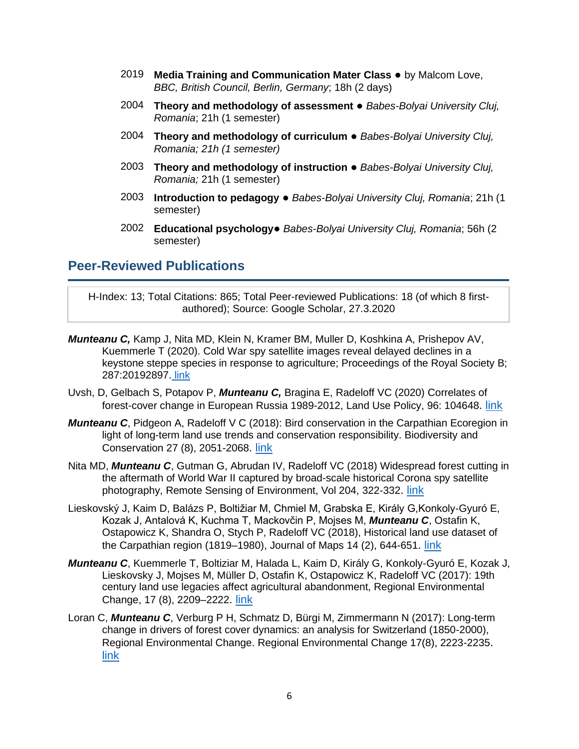- 2019 **Media Training and Communication Mater Class** by Malcom Love, *BBC, British Council, Berlin, Germany*; 18h (2 days)
- 2004 **Theory and methodology of assessment ●** *Babes-Bolyai University Cluj, Romania*; 21h (1 semester)
- 2004 **Theory and methodology of curriculum ●** *Babes-Bolyai University Cluj, Romania; 21h (1 semester)*
- 2003 **Theory and methodology of instruction ●** *Babes-Bolyai University Cluj, Romania;* 21h (1 semester)
- 2003 **Introduction to pedagogy ●** *Babes-Bolyai University Cluj, Romania*; 21h (1 semester)
- 2002 **Educational psychology●** *Babes-Bolyai University Cluj, Romania*; 56h (2 semester)

### **Peer-Reviewed Publications**

H-Index: 13; Total Citations: 865; Total Peer-reviewed Publications: 18 (of which 8 firstauthored); Source: [Google Scholar,](https://scholar.google.de/citations?user=T6RZmAIAAAAJ&hl=en) 27.3.2020

- *Munteanu C,* Kamp J, Nita MD, Klein N, Kramer BM, Muller D, Koshkina A, Prishepov AV, Kuemmerle T (2020). Cold War spy satellite images reveal delayed declines in a keystone steppe species in response to agriculture; Proceedings of the Royal Society B; 287:20192897. [link](https://royalsocietypublishing.org/doi/full/10.1098/rspb.2019.2897)
- Uvsh, D, Gelbach S, Potapov P, *Munteanu C,* Bragina E, Radeloff VC (2020) Correlates of forest-cover change in European Russia 1989-2012, Land Use Policy, 96: 104648. [link](https://www.sciencedirect.com/science/article/abs/pii/S0264837719312153)
- **Munteanu C**, Pidgeon A, Radeloff V C (2018): Bird conservation in the Carpathian Ecoregion in light of long-term land use trends and conservation responsibility. Biodiversity and Conservation 27 (8), 2051-2068. [link](https://link.springer.com/article/10.1007/s10531-018-1524-z)
- Nita MD, *Munteanu C*, Gutman G, Abrudan IV, Radeloff VC (2018) Widespread forest cutting in the aftermath of World War II captured by broad-scale historical Corona spy satellite photography, Remote Sensing of Environment, Vol 204, 322-332. [link](https://www.sciencedirect.com/science/article/abs/pii/S0034425717304844)
- Lieskovský J, Kaim D, Balázs P, Boltižiar M, Chmiel M, Grabska E, Király G,Konkoly-Gyuró E, Kozak J, Antalová K, Kuchma T, Mackovčin P, Mojses M, *Munteanu C*, Ostafin K, Ostapowicz K, Shandra O, Stych P, Radeloff VC (2018), Historical land use dataset of the Carpathian region (1819–1980), Journal of Maps 14 (2), 644-651. [link](https://www.tandfonline.com/doi/full/10.1080/17445647.2018.1502099)
- *Munteanu C*, Kuemmerle T, Boltiziar M, Halada L, Kaim D, Király G, Konkoly-Gyuró E, Kozak J, Lieskovsky J, Mojses M, Müller D, Ostafin K, Ostapowicz K, Radeloff VC (2017): 19th century land use legacies affect agricultural abandonment, Regional Environmental Change, 17 (8), 2209–2222. [link](https://link.springer.com/article/10.1007/s10113-016-1097-x)
- Loran C, *Munteanu C*, Verburg P H, Schmatz D, Bürgi M, Zimmermann N (2017): Long-term change in drivers of forest cover dynamics: an analysis for Switzerland (1850-2000), Regional Environmental Change. Regional Environmental Change 17(8), 2223-2235. [link](https://link.springer.com/article/10.1007/s10113-017-1148-y)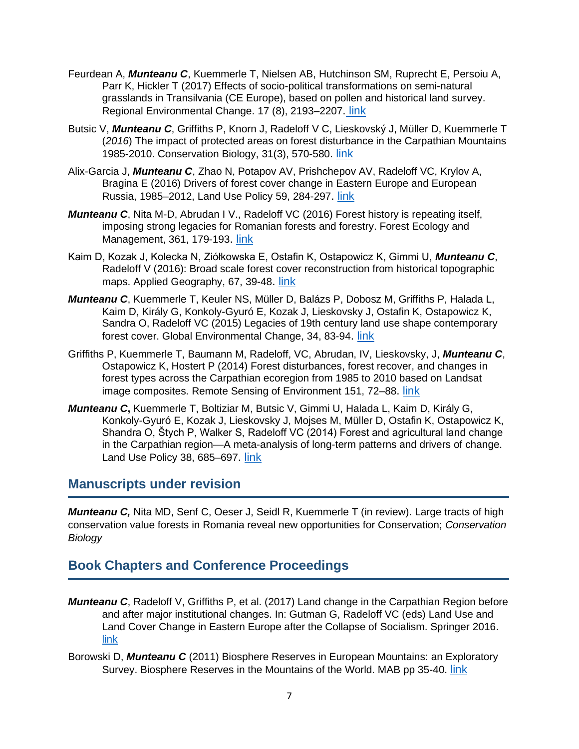- Feurdean A, *Munteanu C*, Kuemmerle T, Nielsen AB, Hutchinson SM, Ruprecht E, Persoiu A, Parr K, Hickler T (2017) Effects of socio-political transformations on semi-natural grasslands in Transilvania (CE Europe), based on pollen and historical land survey. Regional Environmental Change. 17 (8), 2193–2207. [link](https://link.springer.com/article/10.1007/s10113-016-1063-7)
- Butsic V, *Munteanu C*, Griffiths P, Knorn J, Radeloff V C, Lieskovský J, Müller D, Kuemmerle T (*2016*) The impact of protected areas on forest disturbance in the Carpathian Mountains 1985-2010. Conservation Biology, 31(3), 570-580. [link](https://conbio.onlinelibrary.wiley.com/doi/abs/10.1111/cobi.12835)
- Alix-Garcia J, *Munteanu C*, Zhao N, Potapov AV, Prishchepov AV, Radeloff VC, Krylov A, Bragina E (2016) Drivers of forest cover change in Eastern Europe and European Russia, 1985–2012, Land Use Policy 59, 284-297. [link](https://www.sciencedirect.com/science/article/abs/pii/S0264837715300260)
- *Munteanu C*, Nita M-D, Abrudan I V., Radeloff VC (2016) Forest history is repeating itself, imposing strong legacies for Romanian forests and forestry. Forest Ecology and Management, 361, 179-193. [link](https://www.sciencedirect.com/science/article/abs/pii/S0378112715006465)
- Kaim D, Kozak J, Kolecka N, Ziółkowska E, Ostafin K, Ostapowicz K, Gimmi U, *Munteanu C*, Radeloff V (2016): Broad scale forest cover reconstruction from historical topographic maps. Applied Geography, 67, 39-48. [link](https://www.sciencedirect.com/science/article/abs/pii/S0143622815300291)
- *Munteanu C*, Kuemmerle T, Keuler NS, Müller D, Balázs P, Dobosz M, Griffiths P, Halada L, Kaim D, Király G, Konkoly-Gyuró E, Kozak J, Lieskovsky J, Ostafin K, Ostapowicz K, Sandra O, Radeloff VC (2015) Legacies of 19th century land use shape contemporary forest cover. Global Environmental Change, 34, 83-94. [link](https://www.sciencedirect.com/science/article/abs/pii/S0959378015300078)
- Griffiths P, Kuemmerle T, Baumann M, Radeloff, VC, Abrudan, IV, Lieskovsky, J, *Munteanu C*, Ostapowicz K, Hostert P (2014) Forest disturbances, forest recover, and changes in forest types across the Carpathian ecoregion from 1985 to 2010 based on Landsat image composites. Remote Sensing of Environment 151, 72-88. [link](https://www.sciencedirect.com/science/article/abs/pii/S0034425713003453)
- *Munteanu C***,** Kuemmerle T, Boltiziar M, Butsic V, Gimmi U, Halada L, Kaim D, Király G, Konkoly-Gyuró E, Kozak J, Lieskovsky J, Mojses M, Müller D, Ostafin K, Ostapowicz K, Shandra O, Štych P, Walker S, Radeloff VC (2014) Forest and agricultural land change in the Carpathian region—A meta-analysis of long-term patterns and drivers of change. Land Use Policy 38, 685-697. [link](https://www.sciencedirect.com/science/article/abs/pii/S0264837714000131)

#### **Manuscripts under revision**

**Munteanu C,** Nita MD, Senf C, Oeser J, Seidl R, Kuemmerle T (in review). Large tracts of high conservation value forests in Romania reveal new opportunities for Conservation; *Conservation Biology*

### **Book Chapters and Conference Proceedings**

- *Munteanu C*, Radeloff V, Griffiths P, et al. (2017) Land change in the Carpathian Region before and after major institutional changes. In: Gutman G, Radeloff VC (eds) Land Use and Land Cover Change in Eastern Europe after the Collapse of Socialism. Springer 2016. [link](https://link.springer.com/chapter/10.1007/978-3-319-42638-9_4)
- Borowski D, *Munteanu C* (2011) Biosphere Reserves in European Mountains: an Exploratory Survey. Biosphere Reserves in the Mountains of the World. MAB pp 35-40. [link](http://imperia.verbandsnetz.nabu.de/imperia/md/content/nabude/international/mountains_excellence.pdf#page=37)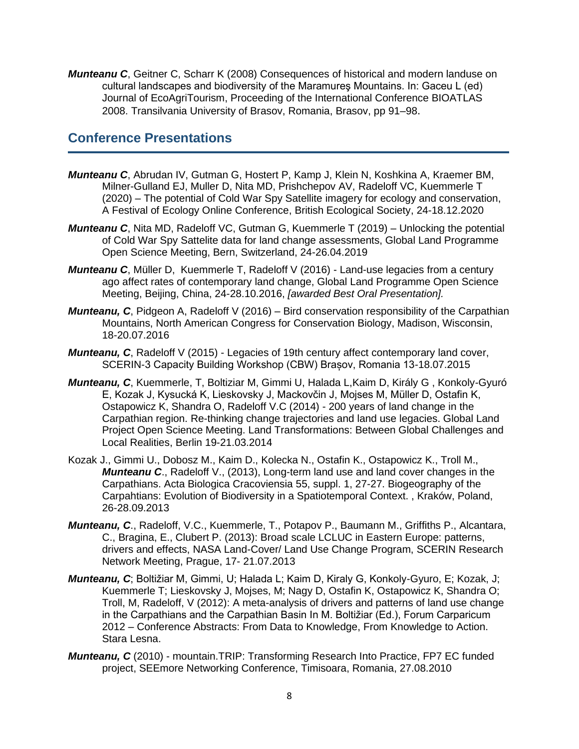*Munteanu C*, Geitner C, Scharr K (2008) Consequences of historical and modern landuse on cultural landscapes and biodiversity of the Maramureş Mountains. In: Gaceu L (ed) Journal of EcoAgriTourism, Proceeding of the International Conference BIOATLAS 2008. Transilvania University of Brasov, Romania, Brasov, pp 91–98.

### **Conference Presentations**

- *Munteanu C*, Abrudan IV, Gutman G, Hostert P, Kamp J, Klein N, Koshkina A, Kraemer BM, Milner-Gulland EJ, Muller D, Nita MD, Prishchepov AV, Radeloff VC, Kuemmerle T (2020) – The potential of Cold War Spy Satellite imagery for ecology and conservation, A Festival of Ecology Online Conference, British Ecological Society, 24-18.12.2020
- *Munteanu C*, Nita MD, Radeloff VC, Gutman G, Kuemmerle T (2019) Unlocking the potential of Cold War Spy Sattelite data for land change assessments, Global Land Programme Open Science Meeting, Bern, Switzerland, 24-26.04.2019
- *Munteanu C*, Müller D, Kuemmerle T, Radeloff V (2016) Land-use legacies from a century ago affect rates of contemporary land change, Global Land Programme Open Science Meeting, Beijing, China, 24-28.10.2016, *[awarded Best Oral Presentation].*
- *Munteanu, C.* Pidgeon A, Radeloff V (2016) Bird conservation responsibility of the Carpathian Mountains, North American Congress for Conservation Biology, Madison, Wisconsin, 18-20.07.2016
- *Munteanu, C*, Radeloff V (2015) Legacies of 19th century affect contemporary land cover, SCERIN-3 Capacity Building Workshop (CBW) Brașov, Romania 13-18.07.2015
- *Munteanu, C*, Kuemmerle, T, Boltiziar M, Gimmi U, Halada L,Kaim D, Király G , Konkoly-Gyuró E, Kozak J, Kysucká K, Lieskovsky J, Mackovčin J, Mojses M, Müller D, Ostafin K, Ostapowicz K, Shandra O, Radeloff V.C (2014) - 200 years of land change in the Carpathian region. Re-thinking change trajectories and land use legacies. Global Land Project Open Science Meeting. Land Transformations: Between Global Challenges and Local Realities, Berlin 19-21.03.2014
- Kozak J., Gimmi U., Dobosz M., Kaim D., Kolecka N., Ostafin K., Ostapowicz K., Troll M., *Munteanu C*., Radeloff V., (2013), Long-term land use and land cover changes in the Carpathians. Acta Biologica Cracoviensia 55, suppl. 1, 27-27. Biogeography of the Carpahtians: Evolution of Biodiversity in a Spatiotemporal Context. , Kraków, Poland, 26-28.09.2013
- *Munteanu, C*., Radeloff, V.C., Kuemmerle, T., Potapov P., Baumann M., Griffiths P., Alcantara, C., Bragina, E., Clubert P. (2013): Broad scale LCLUC in Eastern Europe: patterns, drivers and effects, NASA Land-Cover/ Land Use Change Program, SCERIN Research Network Meeting, Prague, 17- 21.07.2013
- *Munteanu, C*; Boltižiar M, Gimmi, U; Halada L; Kaim D, Kiraly G, Konkoly-Gyuro, E; Kozak, J; Kuemmerle T; Lieskovsky J, Mojses, M; Nagy D, Ostafin K, Ostapowicz K, Shandra O; Troll, M, Radeloff, V (2012): A meta-analysis of drivers and patterns of land use change in the Carpathians and the Carpathian Basin In M. Boltižiar (Ed.), Forum Carparicum 2012 – Conference Abstracts: From Data to Knowledge, From Knowledge to Action. Stara Lesna.
- *Munteanu, C* (2010) mountain.TRIP: Transforming Research Into Practice, FP7 EC funded project, SEEmore Networking Conference, Timisoara, Romania, 27.08.2010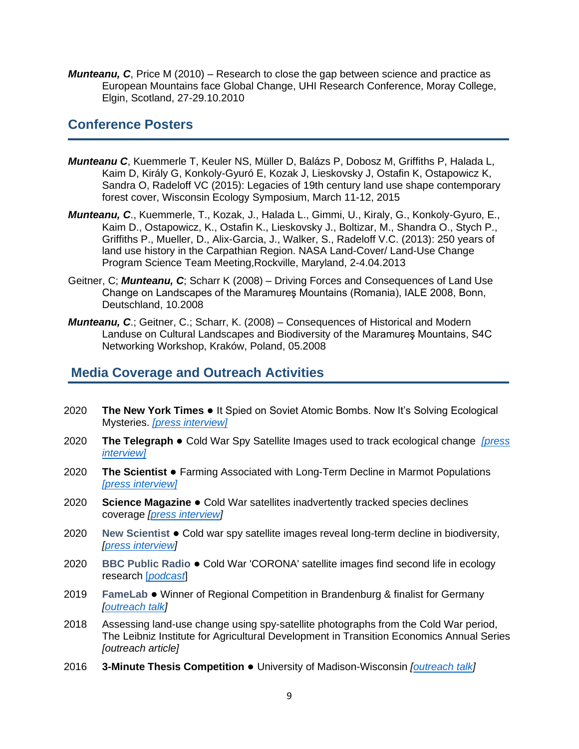*Munteanu, C*, Price M (2010) – Research to close the gap between science and practice as European Mountains face Global Change, UHI Research Conference, Moray College, Elgin, Scotland, 27-29.10.2010

#### **Conference Posters**

- *Munteanu C*, Kuemmerle T, Keuler NS, Müller D, Balázs P, Dobosz M, Griffiths P, Halada L, Kaim D, Király G, Konkoly-Gyuró E, Kozak J, Lieskovsky J, Ostafin K, Ostapowicz K, Sandra O, Radeloff VC (2015): Legacies of 19th century land use shape contemporary forest cover, Wisconsin Ecology Symposium, March 11-12, 2015
- *Munteanu, C*., Kuemmerle, T., Kozak, J., Halada L., Gimmi, U., Kiraly, G., Konkoly-Gyuro, E., Kaim D., Ostapowicz, K., Ostafin K., Lieskovsky J., Boltizar, M., Shandra O., Stych P., Griffiths P., Mueller, D., Alix-Garcia, J., Walker, S., Radeloff V.C. (2013): 250 years of land use history in the Carpathian Region. NASA Land-Cover/ Land-Use Change Program Science Team Meeting,Rockville, Maryland, 2-4.04.2013
- Geitner, C; *Munteanu, C*; Scharr K (2008) Driving Forces and Consequences of Land Use Change on Landscapes of the Maramureş Mountains (Romania), IALE 2008, Bonn, Deutschland, 10.2008
- *Munteanu, C.*; Geitner, C.; Scharr, K. (2008) Consequences of Historical and Modern Landuse on Cultural Landscapes and Biodiversity of the Maramureş Mountains, S4C Networking Workshop, Kraków, Poland, 05.2008

### **Media Coverage and Outreach Activities**

- 2020 **The New York Times** It Spied on Soviet Atomic Bombs. Now It's Solving Ecological Mysteries. *[\[press interview\]](https://www.nytimes.com/2021/01/05/science/corona-satellites-environment.html)*
- 2020 **The Telegraph** Cold War Spy Satellite Images used to track ecological change *[\[press](https://www.telegraph.co.uk/environment/2020/12/17/cold-war-spy-satellite-images-used-track-ecological-change/)  [interview\]](https://www.telegraph.co.uk/environment/2020/12/17/cold-war-spy-satellite-images-used-track-ecological-change/)*
- 2020 **The Scientist** Farming Associated with Long-Term Decline in Marmot Populations *[\[press interview\]](https://www.the-scientist.com/notebook/farming-associated-with-a-long-term-decline-in-marmot-populations-68187)*
- 2020 **Science Magazine ●** Cold War satellites inadvertently tracked species declines coverage *[\[press interview\]](https://www.sciencemag.org/news/2020/05/cold-war-satellites-inadvertently-tracked-species-declines)*
- 2020 **New Scientist ●** Cold war spy satellite images reveal long-term decline in biodiversity, *[\[press interview\]](https://www.newscientist.com/article/2243902-cold-war-spy-satellite-images-reveal-long-term-decline-in-biodiversity/)*
- 2020 **BBC Public Radio ●** Cold War 'CORONA' satellite images find second life in ecology research [*[podcast](https://www.pri.org/stories/2020-06-01/cold-war-corona-satellite-images-find-second-life-ecology-research)*]
- 2019 **FameLab ●** Winner of Regional Competition in Brandenburg & finalist for Germany *[\[outreach talk\]](https://youtu.be/pbRu52_e71k)*
- 2018 Assessing land-use change using spy-satellite photographs from the Cold War period, The Leibniz Institute for Agricultural Development in Transition Economics Annual Series *[outreach article]*
- 2016 **3-Minute Thesis Competition** University of Madison-Wisconsin *[\[outreach talk\]](https://youtu.be/Yg9CQppJsbs)*